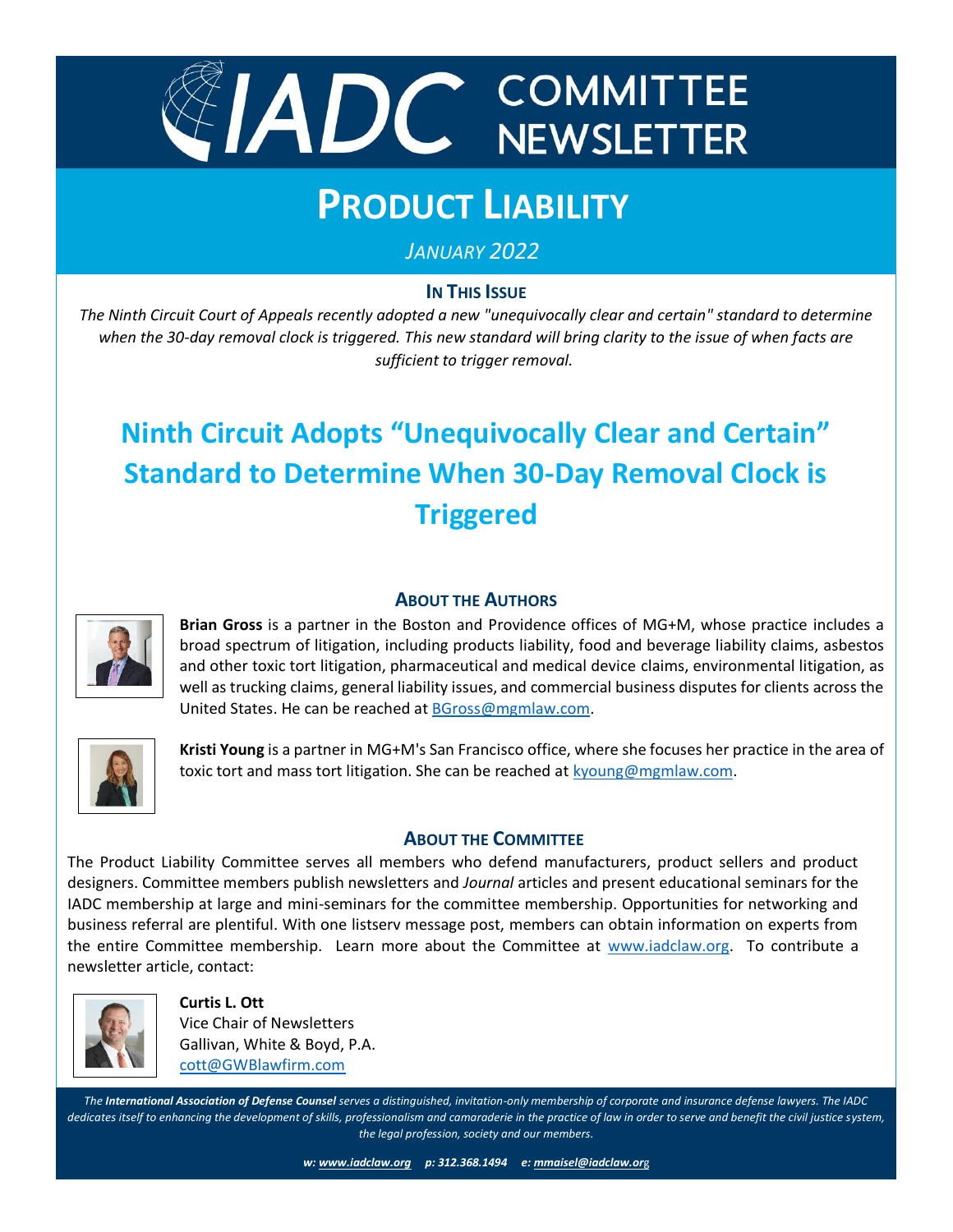

# **PRODUCT LIABILITY**

*JANUARY 2022*

## **IN THIS ISSUE**

*The Ninth Circuit Court of Appeals recently adopted a new "unequivocally clear and certain" standard to determine when the 30-day removal clock is triggered. This new standard will bring clarity to the issue of when facts are when the 30-day removal clock is triggered. This new standard will bring clarity to the issue of when facts a sufficient to trigger removal.*

## **Ninth Circuit Adopts "Unequivocally Clear and Certain" Standard to Determine When 30-Day Removal Clock is Triggered**



#### **ABOUT THE AUTHORS**

**Brian Gross** is a partner in the Boston and Providence offices of MG+M, whose practice includes a broad spectrum of litigation, including products liability, food and beverage liability claims, asbestos and other toxic tort litigation, pharmaceutical and medical device claims, environmental litigation, as well as trucking claims, general liability issues, and commercial business disputes for clients across the United States. He can be reached at [BGross@mgmlaw.com.](mailto:BGross@mgmlaw.com)



**Kristi Young** is a partner in MG+M's San Francisco office, where she focuses her practice in the area of toxic tort and mass tort litigation. She can be reached at [kyoung@mgmlaw.com.](mailto:kyoung@mgmlaw.com)

### **ABOUT THE COMMITTEE**

The Product Liability Committee serves all members who defend manufacturers, product sellers and product designers. Committee members publish newsletters and *Journal* articles and present educational seminars for the IADC membership at large and mini-seminars for the committee membership. Opportunities for networking and business referral are plentiful. With one listserv message post, members can obtain information on experts from the entire Committee membership. Learn more about the Committee at [www.iadclaw.org.](http://www.iadclaw.org/) To contribute a newsletter article, contact:



 **Curtis L. Ott** Vice Chair of Newsletters Gallivan, White & Boyd, P.A. [cott@GWBlawfirm.com](mailto:cott@GWBlawfirm.com)

*The International Association of Defense Counsel serves a distinguished, invitation-only membership of corporate and insurance defense lawyers. The IADC dedicates itself to enhancing the development of skills, professionalism and camaraderie in the practice of law in order to serve and benefit the civil justice system, the legal profession, society and our members.*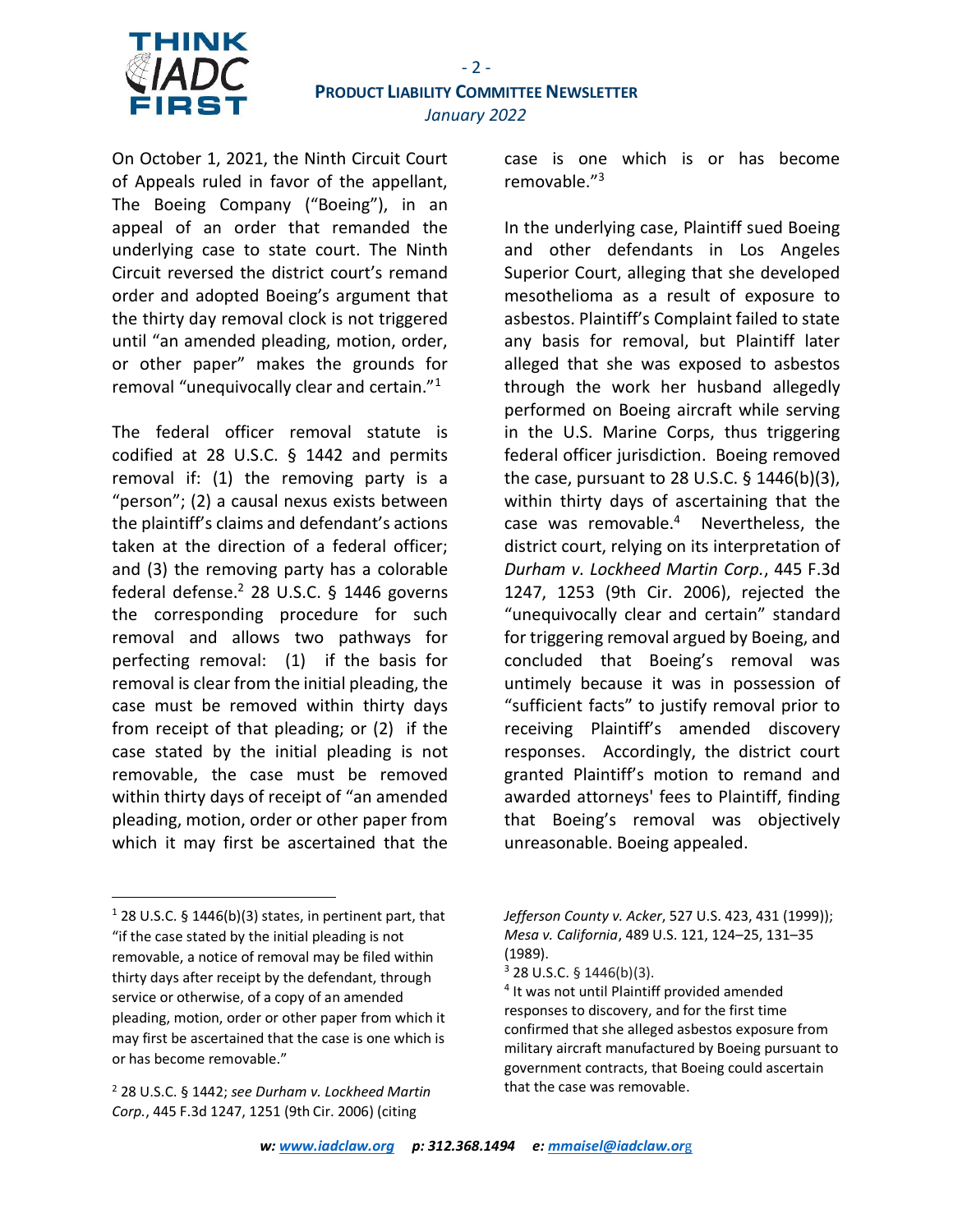

On October 1, 2021, the Ninth Circuit Court of Appeals ruled in favor of the appellant, The Boeing Company ("Boeing"), in an appeal of an order that remanded the underlying case to state court. The Ninth Circuit reversed the district court's remand order and adopted Boeing's argument that the thirty day removal clock is not triggered until "an amended pleading, motion, order, or other paper" makes the grounds for removal "unequivocally clear and certain."<sup>1</sup>

The federal officer removal statute is codified at 28 U.S.C. § 1442 and permits removal if: (1) the removing party is a "person"; (2) a causal nexus exists between the plaintiff's claims and defendant's actions taken at the direction of a federal officer; and (3) the removing party has a colorable federal defense.<sup>2</sup> 28 U.S.C. § 1446 governs the corresponding procedure for such removal and allows two pathways for perfecting removal: (1) if the basis for removal is clear from the initial pleading, the case must be removed within thirty days from receipt of that pleading; or (2) if the case stated by the initial pleading is not removable, the case must be removed within thirty days of receipt of "an amended pleading, motion, order or other paper from which it may first be ascertained that the

case is one which is or has become removable."<sup>3</sup>

In the underlying case, Plaintiff sued Boeing and other defendants in Los Angeles Superior Court, alleging that she developed mesothelioma as a result of exposure to asbestos. Plaintiff's Complaint failed to state any basis for removal, but Plaintiff later alleged that she was exposed to asbestos through the work her husband allegedly performed on Boeing aircraft while serving in the U.S. Marine Corps, thus triggering federal officer jurisdiction. Boeing removed the case, pursuant to 28 U.S.C. § 1446(b)(3), within thirty days of ascertaining that the case was removable.<sup>4</sup> Nevertheless, the district court, relying on its interpretation of *Durham v. Lockheed Martin Corp.*, 445 F.3d 1247, 1253 (9th Cir. 2006), rejected the "unequivocally clear and certain" standard for triggering removal argued by Boeing, and concluded that Boeing's removal was untimely because it was in possession of "sufficient facts" to justify removal prior to receiving Plaintiff's amended discovery responses. Accordingly, the district court granted Plaintiff's motion to remand and awarded attorneys' fees to Plaintiff, finding that Boeing's removal was objectively unreasonable. Boeing appealed.

 $1$  28 U.S.C. § 1446(b)(3) states, in pertinent part, that "if the case stated by the initial pleading is not removable, a notice of removal may be filed within thirty days after receipt by the defendant, through service or otherwise, of a copy of an amended pleading, motion, order or other paper from which it may first be ascertained that the case is one which is or has become removable."

<sup>2</sup> 28 U.S.C. § 1442; *see Durham v. Lockheed Martin Corp.*, 445 F.3d 1247, 1251 (9th Cir. 2006) (citing

*Jefferson County v. Acker*, 527 U.S. 423, 431 (1999)); *Mesa v. California*, 489 U.S. 121, 124–25, 131–35 (1989).

 $3$  28 U.S.C. § 1446(b)(3).

<sup>4</sup> It was not until Plaintiff provided amended responses to discovery, and for the first time confirmed that she alleged asbestos exposure from military aircraft manufactured by Boeing pursuant to government contracts, that Boeing could ascertain that the case was removable.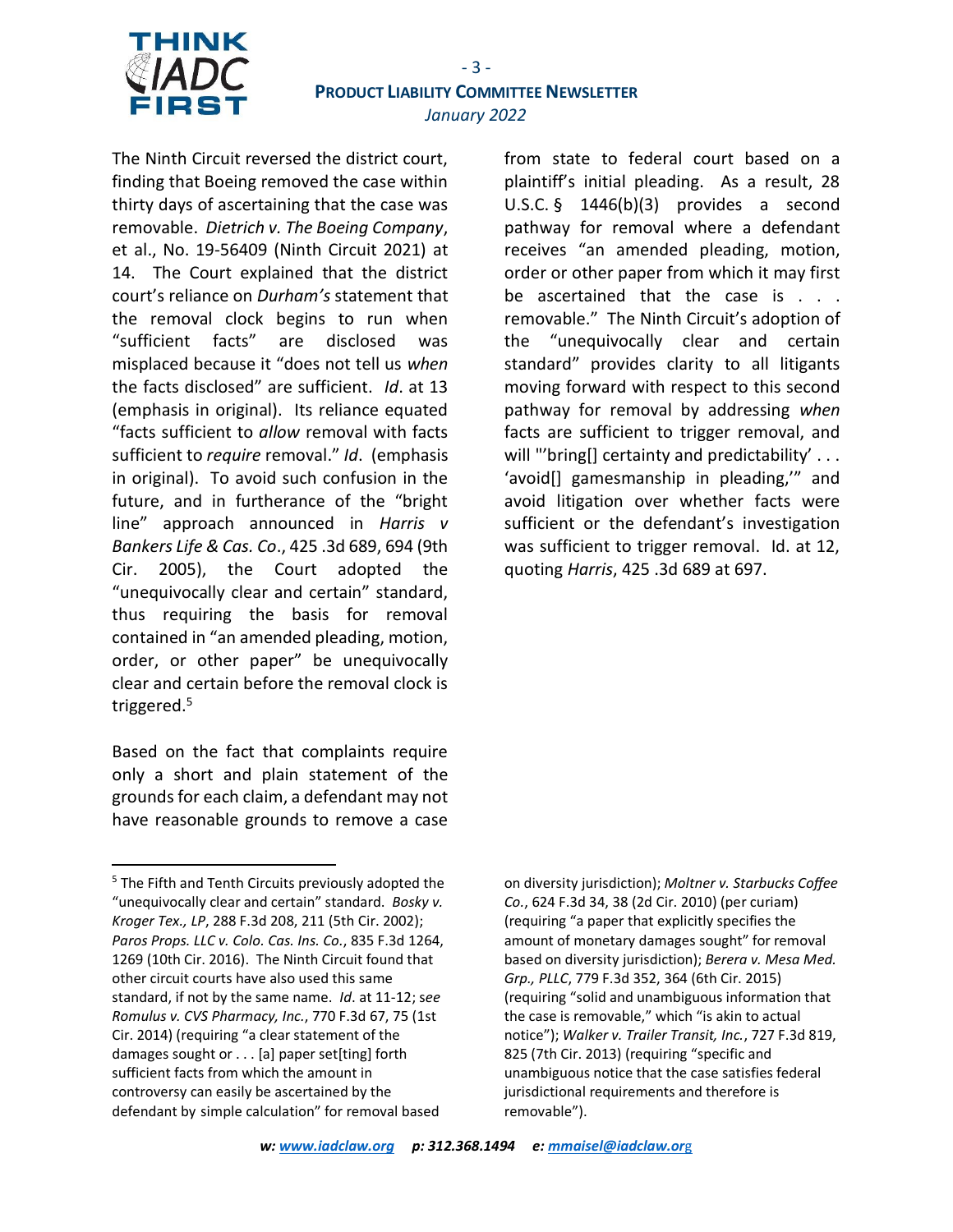

## - 3 - **PRODUCT LIABILITY COMMITTEE NEWSLETTER** *January 2022*

The Ninth Circuit reversed the district court, finding that Boeing removed the case within thirty days of ascertaining that the case was removable. *Dietrich v. The Boeing Company*, et al., No. 19-56409 (Ninth Circuit 2021) at 14. The Court explained that the district court's reliance on *Durham's* statement that the removal clock begins to run when "sufficient facts" are disclosed was misplaced because it "does not tell us *when* the facts disclosed" are sufficient. *Id*. at 13 (emphasis in original). Its reliance equated "facts sufficient to *allow* removal with facts sufficient to *require* removal." *Id*. (emphasis in original). To avoid such confusion in the future, and in furtherance of the "bright line" approach announced in *Harris v Bankers Life & Cas. Co*., 425 .3d 689, 694 (9th Cir. 2005), the Court adopted the "unequivocally clear and certain" standard, thus requiring the basis for removal contained in "an amended pleading, motion, order, or other paper" be unequivocally clear and certain before the removal clock is triggered.<sup>5</sup>

Based on the fact that complaints require only a short and plain statement of the grounds for each claim, a defendant may not have reasonable grounds to remove a case

from state to federal court based on a plaintiff's initial pleading. As a result, 28 U.S.C. § 1446(b)(3) provides a second pathway for removal where a defendant receives "an amended pleading, motion, order or other paper from which it may first be ascertained that the case is . . . removable." The Ninth Circuit's adoption of the "unequivocally clear and certain standard" provides clarity to all litigants moving forward with respect to this second pathway for removal by addressing *when* facts are sufficient to trigger removal, and will "'bring[] certainty and predictability' . . . 'avoid[] gamesmanship in pleading,'" and avoid litigation over whether facts were sufficient or the defendant's investigation was sufficient to trigger removal. Id. at 12, quoting *Harris*, 425 .3d 689 at 697.

<sup>&</sup>lt;sup>5</sup> The Fifth and Tenth Circuits previously adopted the "unequivocally clear and certain" standard. *Bosky v. Kroger Tex., LP*, 288 F.3d 208, 211 (5th Cir. 2002); *Paros Props. LLC v. Colo. Cas. Ins. Co.*, 835 F.3d 1264, 1269 (10th Cir. 2016). The Ninth Circuit found that other circuit courts have also used this same standard, if not by the same name. *Id*. at 11-12; s*ee Romulus v. CVS Pharmacy, Inc.*, 770 F.3d 67, 75 (1st Cir. 2014) (requiring "a clear statement of the damages sought or . . . [a] paper set[ting] forth sufficient facts from which the amount in controversy can easily be ascertained by the defendant by simple calculation" for removal based

on diversity jurisdiction); *Moltner v. Starbucks Coffee Co.*, 624 F.3d 34, 38 (2d Cir. 2010) (per curiam) (requiring "a paper that explicitly specifies the amount of monetary damages sought" for removal based on diversity jurisdiction); *Berera v. Mesa Med. Grp., PLLC*, 779 F.3d 352, 364 (6th Cir. 2015) (requiring "solid and unambiguous information that the case is removable," which "is akin to actual notice"); *Walker v. Trailer Transit, Inc.*, 727 F.3d 819, 825 (7th Cir. 2013) (requiring "specific and unambiguous notice that the case satisfies federal jurisdictional requirements and therefore is removable").